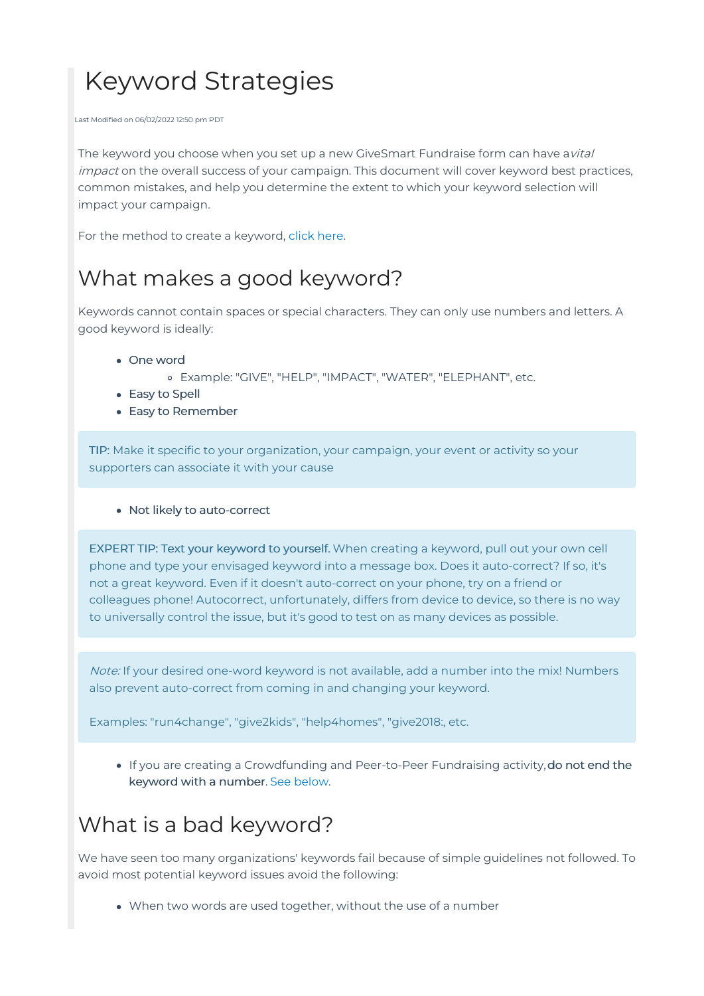# Keyword Strategies

Last Modified on 06/02/2022 12:50 pm PDT

The keyword you choose when you set up a new GiveSmart Fundraise form can have avital impact on the overall success of your campaign. This document will cover keyword best practices, common mistakes, and help you determine the extent to which your keyword selection will impact your campaign.

For the method to create a keyword, [click](http://support.mobilecause.com/help/activity-keyword-setup) here.

## What makes a good keyword?

Keywords cannot contain spaces or special characters. They can only use numbers and letters. A good keyword is ideally:

- One word
	- Example: "GIVE", "HELP", "IMPACT", "WATER", "ELEPHANT", etc.
- Easy to Spell
- Easy to Remember

TIP: Make it specific to your organization, your campaign, your event or activity so your supporters can associate it with your cause

Not likely to auto-correct

EXPERT TIP: Text your keyword to yourself. When creating a keyword, pull out your own cell phone and type your envisaged keyword into a message box. Does it auto-correct? If so, it's not a great keyword. Even if it doesn't auto-correct on your phone, try on a friend or colleagues phone! Autocorrect, unfortunately, differs from device to device, so there is no way to universally control the issue, but it's good to test on as many devices as possible.

Note: If your desired one-word keyword is not available, add a number into the mix! Numbers also prevent auto-correct from coming in and changing your keyword.

Examples: "run4change", "give2kids", "help4homes", "give2018:, etc.

If you are creating a Crowdfunding and Peer-to-Peer Fundraising activity,do not end the keyword with a number. See [below](http://support.mobilecause.com/#cf).

# What is a bad keyword?

We have seen too many organizations' keywords fail because of simple guidelines not followed. To avoid most potential keyword issues avoid the following:

When two words are used together, without the use of a number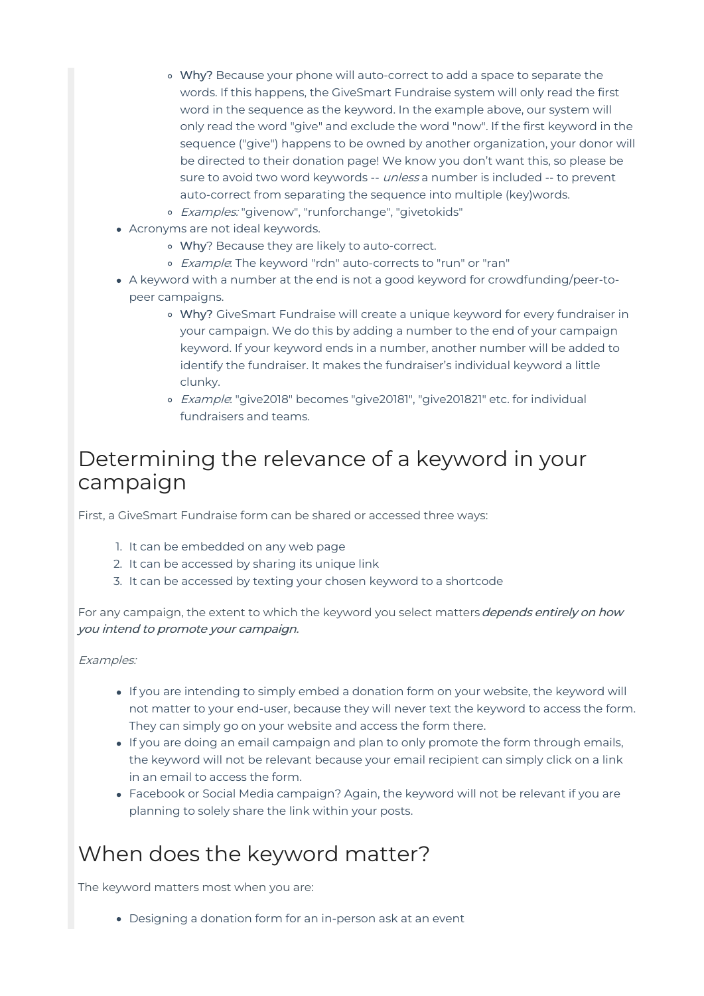- Why? Because your phone will auto-correct to add a space to separate the words. If this happens, the GiveSmart Fundraise system will only read the first word in the sequence as the keyword. In the example above, our system will only read the word "give" and exclude the word "now". If the first keyword in the sequence ("give") happens to be owned by another organization, your donor will be directed to their donation page! We know you don't want this, so please be sure to avoid two word keywords -- *unless* a number is included -- to prevent auto-correct from separating the sequence into multiple (key)words.
- o Examples: "givenow", "runforchange", "givetokids"
- Acronyms are not ideal keywords.
	- Why? Because they are likely to auto-correct.
	- o *Example*: The keyword "rdn" auto-corrects to "run" or "ran"
- A keyword with a number at the end is not a good keyword for crowdfunding/peer-topeer campaigns.
	- Why? GiveSmart Fundraise will create a unique keyword for every fundraiser in your campaign. We do this by adding a number to the end of your campaign keyword. If your keyword ends in a number, another number will be added to identify the fundraiser. It makes the fundraiser's individual keyword a little clunky.
	- o Example: "give2018" becomes "give20181", "give201821" etc. for individual fundraisers and teams.

### Determining the relevance of a keyword in your campaign

First, a GiveSmart Fundraise form can be shared or accessed three ways:

- 1. It can be embedded on any web page
- 2. It can be accessed by sharing its unique link
- 3. It can be accessed by texting your chosen keyword to a shortcode

For any campaign, the extent to which the keyword you select matters *depends entirely on how* you intend to promote your campaign.

#### Examples:

- If you are intending to simply embed a donation form on your website, the keyword will not matter to your end-user, because they will never text the keyword to access the form. They can simply go on your website and access the form there.
- If you are doing an email campaign and plan to only promote the form through emails, the keyword will not be relevant because your email recipient can simply click on a link in an email to access the form.
- Facebook or Social Media campaign? Again, the keyword will not be relevant if you are planning to solely share the link within your posts.

### When does the keyword matter?

The keyword matters most when you are:

Designing a donation form for an in-person ask at an event